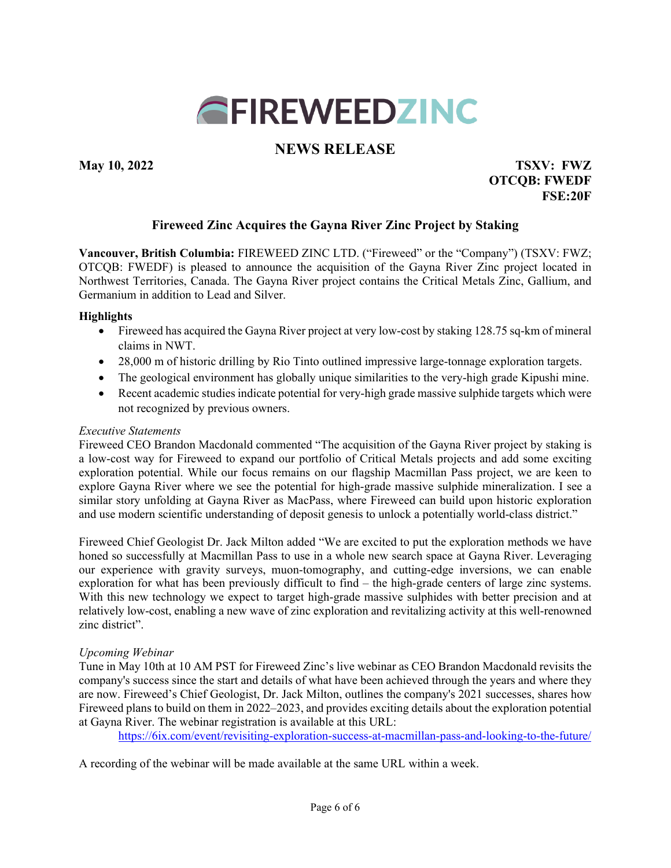

# **NEWS RELEASE**

**May 10, 2022 TSXV: FWZ OTCQB: FWEDF FSE:20F**

## **Fireweed Zinc Acquires the Gayna River Zinc Project by Staking**

**Vancouver, British Columbia:** FIREWEED ZINC LTD. ("Fireweed" or the "Company") (TSXV: FWZ; OTCQB: FWEDF) is pleased to announce the acquisition of the Gayna River Zinc project located in Northwest Territories, Canada. The Gayna River project contains the Critical Metals Zinc, Gallium, and Germanium in addition to Lead and Silver.

### **Highlights**

- Fireweed has acquired the Gayna River project at very low-cost by staking 128.75 sq-km of mineral claims in NWT.
- 28,000 m of historic drilling by Rio Tinto outlined impressive large-tonnage exploration targets.
- The geological environment has globally unique similarities to the very-high grade Kipushi mine.
- Recent academic studies indicate potential for very-high grade massive sulphide targets which were not recognized by previous owners.

#### *Executive Statements*

Fireweed CEO Brandon Macdonald commented "The acquisition of the Gayna River project by staking is a low-cost way for Fireweed to expand our portfolio of Critical Metals projects and add some exciting exploration potential. While our focus remains on our flagship Macmillan Pass project, we are keen to explore Gayna River where we see the potential for high-grade massive sulphide mineralization. I see a similar story unfolding at Gayna River as MacPass, where Fireweed can build upon historic exploration and use modern scientific understanding of deposit genesis to unlock a potentially world-class district."

Fireweed Chief Geologist Dr. Jack Milton added "We are excited to put the exploration methods we have honed so successfully at Macmillan Pass to use in a whole new search space at Gayna River. Leveraging our experience with gravity surveys, muon-tomography, and cutting-edge inversions, we can enable exploration for what has been previously difficult to find – the high-grade centers of large zinc systems. With this new technology we expect to target high-grade massive sulphides with better precision and at relatively low-cost, enabling a new wave of zinc exploration and revitalizing activity at this well-renowned zinc district".

#### *Upcoming Webinar*

Tune in May 10th at 10 AM PST for Fireweed Zinc's live webinar as CEO Brandon Macdonald revisits the company's success since the start and details of what have been achieved through the years and where they are now. Fireweed's Chief Geologist, Dr. Jack Milton, outlines the company's 2021 successes, shares how Fireweed plans to build on them in 2022–2023, and provides exciting details about the exploration potential at Gayna River. The webinar registration is available at this URL:

https://6ix.com/event/revisiting-exploration-success-at-macmillan-pass-and-looking-to-the-future/

A recording of the webinar will be made available at the same URL within a week.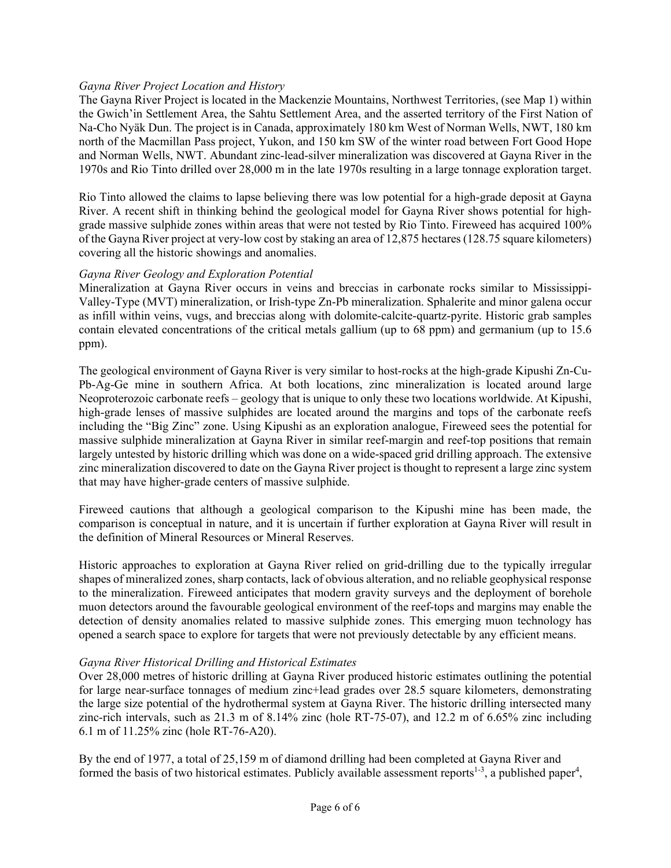### *Gayna River Project Location and History*

The Gayna River Project is located in the Mackenzie Mountains, Northwest Territories, (see Map 1) within the Gwich'in Settlement Area, the Sahtu Settlement Area, and the asserted territory of the First Nation of Na-Cho Nyäk Dun. The project is in Canada, approximately 180 km West of Norman Wells, NWT, 180 km north of the Macmillan Pass project, Yukon, and 150 km SW of the winter road between Fort Good Hope and Norman Wells, NWT. Abundant zinc-lead-silver mineralization was discovered at Gayna River in the 1970s and Rio Tinto drilled over 28,000 m in the late 1970s resulting in a large tonnage exploration target.

Rio Tinto allowed the claims to lapse believing there was low potential for a high-grade deposit at Gayna River. A recent shift in thinking behind the geological model for Gayna River shows potential for highgrade massive sulphide zones within areas that were not tested by Rio Tinto. Fireweed has acquired 100% of the Gayna River project at very-low cost by staking an area of 12,875 hectares (128.75 square kilometers) covering all the historic showings and anomalies.

#### *Gayna River Geology and Exploration Potential*

Mineralization at Gayna River occurs in veins and breccias in carbonate rocks similar to Mississippi-Valley-Type (MVT) mineralization, or Irish-type Zn-Pb mineralization. Sphalerite and minor galena occur as infill within veins, vugs, and breccias along with dolomite-calcite-quartz-pyrite. Historic grab samples contain elevated concentrations of the critical metals gallium (up to 68 ppm) and germanium (up to 15.6 ppm).

The geological environment of Gayna River is very similar to host-rocks at the high-grade Kipushi Zn-Cu-Pb-Ag-Ge mine in southern Africa. At both locations, zinc mineralization is located around large Neoproterozoic carbonate reefs – geology that is unique to only these two locations worldwide. At Kipushi, high-grade lenses of massive sulphides are located around the margins and tops of the carbonate reefs including the "Big Zinc" zone. Using Kipushi as an exploration analogue, Fireweed sees the potential for massive sulphide mineralization at Gayna River in similar reef-margin and reef-top positions that remain largely untested by historic drilling which was done on a wide-spaced grid drilling approach. The extensive zinc mineralization discovered to date on the Gayna River project is thought to represent a large zinc system that may have higher-grade centers of massive sulphide.

Fireweed cautions that although a geological comparison to the Kipushi mine has been made, the comparison is conceptual in nature, and it is uncertain if further exploration at Gayna River will result in the definition of Mineral Resources or Mineral Reserves.

Historic approaches to exploration at Gayna River relied on grid-drilling due to the typically irregular shapes of mineralized zones, sharp contacts, lack of obvious alteration, and no reliable geophysical response to the mineralization. Fireweed anticipates that modern gravity surveys and the deployment of borehole muon detectors around the favourable geological environment of the reef-tops and margins may enable the detection of density anomalies related to massive sulphide zones. This emerging muon technology has opened a search space to explore for targets that were not previously detectable by any efficient means.

#### *Gayna River Historical Drilling and Historical Estimates*

Over 28,000 metres of historic drilling at Gayna River produced historic estimates outlining the potential for large near-surface tonnages of medium zinc+lead grades over 28.5 square kilometers, demonstrating the large size potential of the hydrothermal system at Gayna River. The historic drilling intersected many zinc-rich intervals, such as 21.3 m of 8.14% zinc (hole RT-75-07), and 12.2 m of 6.65% zinc including 6.1 m of 11.25% zinc (hole RT-76-A20).

By the end of 1977, a total of 25,159 m of diamond drilling had been completed at Gayna River and formed the basis of two historical estimates. Publicly available assessment reports<sup>1-3</sup>, a published paper<sup>4</sup>,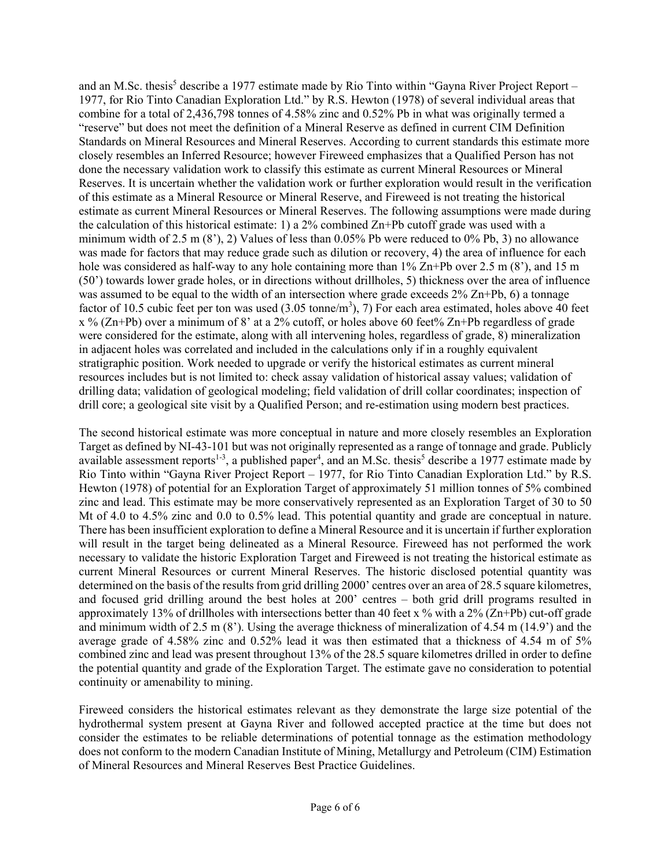and an M.Sc. thesis<sup>5</sup> describe a 1977 estimate made by Rio Tinto within "Gayna River Project Report – 1977, for Rio Tinto Canadian Exploration Ltd." by R.S. Hewton (1978) of several individual areas that combine for a total of 2,436,798 tonnes of 4.58% zinc and 0.52% Pb in what was originally termed a "reserve" but does not meet the definition of a Mineral Reserve as defined in current CIM Definition Standards on Mineral Resources and Mineral Reserves. According to current standards this estimate more closely resembles an Inferred Resource; however Fireweed emphasizes that a Qualified Person has not done the necessary validation work to classify this estimate as current Mineral Resources or Mineral Reserves. It is uncertain whether the validation work or further exploration would result in the verification of this estimate as a Mineral Resource or Mineral Reserve, and Fireweed is not treating the historical estimate as current Mineral Resources or Mineral Reserves. The following assumptions were made during the calculation of this historical estimate: 1) a 2% combined  $Zn+Pb$  cutoff grade was used with a minimum width of 2.5 m (8'), 2) Values of less than 0.05% Pb were reduced to 0% Pb, 3) no allowance was made for factors that may reduce grade such as dilution or recovery, 4) the area of influence for each hole was considered as half-way to any hole containing more than  $1\%$  Zn+Pb over 2.5 m (8'), and 15 m (50') towards lower grade holes, or in directions without drillholes, 5) thickness over the area of influence was assumed to be equal to the width of an intersection where grade exceeds  $2\%$  Zn+Pb, 6) a tonnage factor of 10.5 cubic feet per ton was used  $(3.05 \t{tonne/m}^3)$ , 7) For each area estimated, holes above 40 feet  $x$  % (Zn+Pb) over a minimum of 8' at a 2% cutoff, or holes above 60 feet% Zn+Pb regardless of grade were considered for the estimate, along with all intervening holes, regardless of grade, 8) mineralization in adjacent holes was correlated and included in the calculations only if in a roughly equivalent stratigraphic position. Work needed to upgrade or verify the historical estimates as current mineral resources includes but is not limited to: check assay validation of historical assay values; validation of drilling data; validation of geological modeling; field validation of drill collar coordinates; inspection of drill core; a geological site visit by a Qualified Person; and re-estimation using modern best practices.

The second historical estimate was more conceptual in nature and more closely resembles an Exploration Target as defined by NI-43-101 but was not originally represented as a range of tonnage and grade. Publicly available assessment reports<sup>1-3</sup>, a published paper<sup>4</sup>, and an M.Sc. thesis<sup>5</sup> describe a 1977 estimate made by Rio Tinto within "Gayna River Project Report – 1977, for Rio Tinto Canadian Exploration Ltd." by R.S. Hewton (1978) of potential for an Exploration Target of approximately 51 million tonnes of 5% combined zinc and lead. This estimate may be more conservatively represented as an Exploration Target of 30 to 50 Mt of 4.0 to 4.5% zinc and 0.0 to 0.5% lead. This potential quantity and grade are conceptual in nature. There has been insufficient exploration to define a Mineral Resource and it is uncertain if further exploration will result in the target being delineated as a Mineral Resource. Fireweed has not performed the work necessary to validate the historic Exploration Target and Fireweed is not treating the historical estimate as current Mineral Resources or current Mineral Reserves. The historic disclosed potential quantity was determined on the basis of the results from grid drilling 2000' centres over an area of 28.5 square kilometres, and focused grid drilling around the best holes at 200' centres – both grid drill programs resulted in approximately 13% of drillholes with intersections better than 40 feet x % with a 2% (Zn+Pb) cut-off grade and minimum width of 2.5 m (8'). Using the average thickness of mineralization of 4.54 m (14.9') and the average grade of 4.58% zinc and 0.52% lead it was then estimated that a thickness of 4.54 m of 5% combined zinc and lead was present throughout 13% of the 28.5 square kilometres drilled in order to define the potential quantity and grade of the Exploration Target. The estimate gave no consideration to potential continuity or amenability to mining.

Fireweed considers the historical estimates relevant as they demonstrate the large size potential of the hydrothermal system present at Gayna River and followed accepted practice at the time but does not consider the estimates to be reliable determinations of potential tonnage as the estimation methodology does not conform to the modern Canadian Institute of Mining, Metallurgy and Petroleum (CIM) Estimation of Mineral Resources and Mineral Reserves Best Practice Guidelines.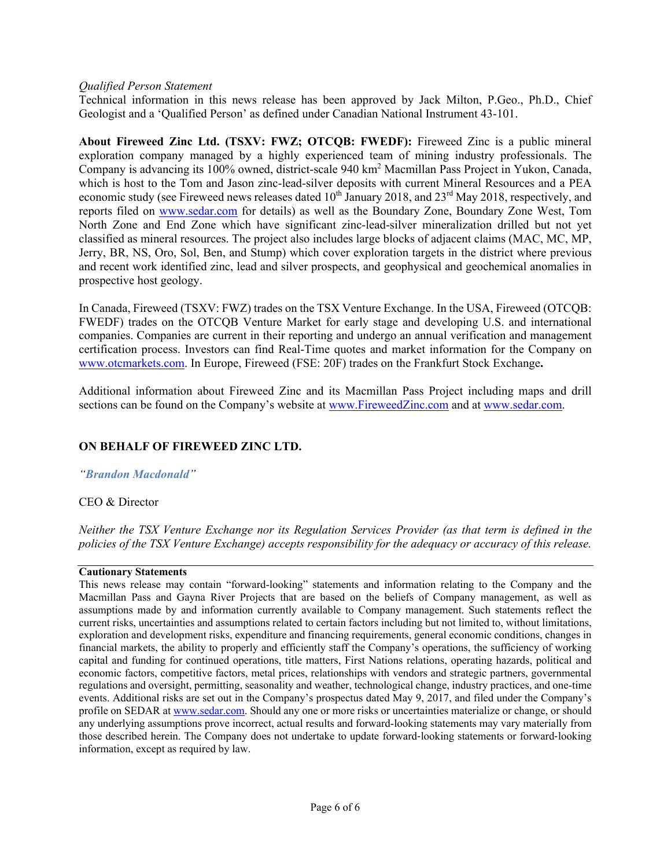#### *Qualified Person Statement*

Technical information in this news release has been approved by Jack Milton, P.Geo., Ph.D., Chief Geologist and a 'Qualified Person' as defined under Canadian National Instrument 43-101.

**About Fireweed Zinc Ltd. (TSXV: FWZ; OTCQB: FWEDF):** Fireweed Zinc is a public mineral exploration company managed by a highly experienced team of mining industry professionals. The Company is advancing its 100% owned, district-scale 940 km2 Macmillan Pass Project in Yukon, Canada, which is host to the Tom and Jason zinc-lead-silver deposits with current Mineral Resources and a PEA economic study (see Fireweed news releases dated 10<sup>th</sup> January 2018, and 23<sup>rd</sup> May 2018, respectively, and reports filed on www.sedar.com for details) as well as the Boundary Zone, Boundary Zone West, Tom North Zone and End Zone which have significant zinc-lead-silver mineralization drilled but not yet classified as mineral resources. The project also includes large blocks of adjacent claims (MAC, MC, MP, Jerry, BR, NS, Oro, Sol, Ben, and Stump) which cover exploration targets in the district where previous and recent work identified zinc, lead and silver prospects, and geophysical and geochemical anomalies in prospective host geology.

In Canada, Fireweed (TSXV: FWZ) trades on the TSX Venture Exchange. In the USA, Fireweed (OTCQB: FWEDF) trades on the OTCQB Venture Market for early stage and developing U.S. and international companies. Companies are current in their reporting and undergo an annual verification and management certification process. Investors can find Real-Time quotes and market information for the Company on www.otcmarkets.com. In Europe, Fireweed (FSE: 20F) trades on the Frankfurt Stock Exchange**.**

Additional information about Fireweed Zinc and its Macmillan Pass Project including maps and drill sections can be found on the Company's website at www.FireweedZinc.com and at www.sedar.com.

## **ON BEHALF OF FIREWEED ZINC LTD.**

*"Brandon Macdonald"* 

CEO & Director

*Neither the TSX Venture Exchange nor its Regulation Services Provider (as that term is defined in the policies of the TSX Venture Exchange) accepts responsibility for the adequacy or accuracy of this release.*

#### **Cautionary Statements**

This news release may contain "forward-looking" statements and information relating to the Company and the Macmillan Pass and Gayna River Projects that are based on the beliefs of Company management, as well as assumptions made by and information currently available to Company management. Such statements reflect the current risks, uncertainties and assumptions related to certain factors including but not limited to, without limitations, exploration and development risks, expenditure and financing requirements, general economic conditions, changes in financial markets, the ability to properly and efficiently staff the Company's operations, the sufficiency of working capital and funding for continued operations, title matters, First Nations relations, operating hazards, political and economic factors, competitive factors, metal prices, relationships with vendors and strategic partners, governmental regulations and oversight, permitting, seasonality and weather, technological change, industry practices, and one-time events. Additional risks are set out in the Company's prospectus dated May 9, 2017, and filed under the Company's profile on SEDAR at www.sedar.com. Should any one or more risks or uncertainties materialize or change, or should any underlying assumptions prove incorrect, actual results and forward-looking statements may vary materially from those described herein. The Company does not undertake to update forward‐looking statements or forward‐looking information, except as required by law.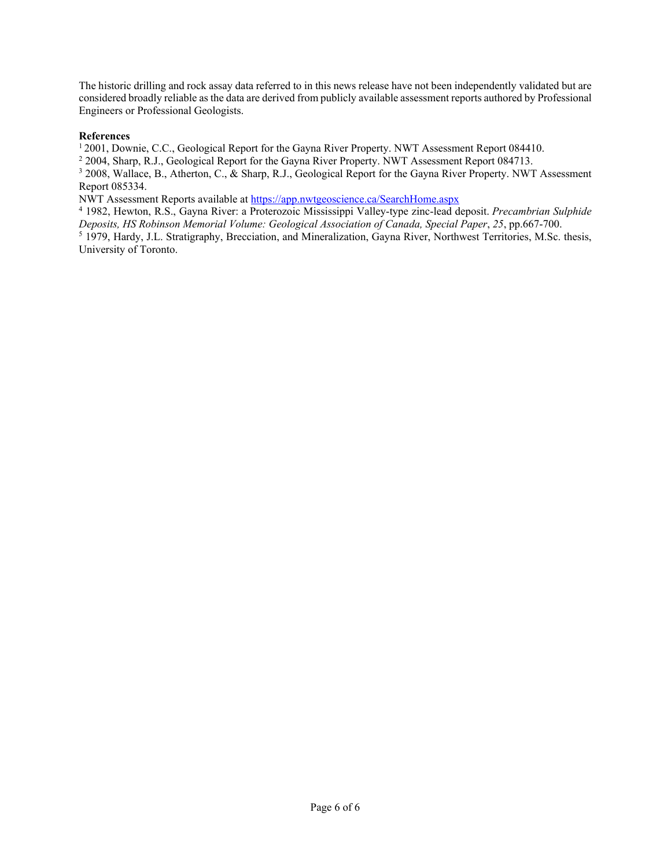The historic drilling and rock assay data referred to in this news release have not been independently validated but are considered broadly reliable as the data are derived from publicly available assessment reports authored by Professional Engineers or Professional Geologists.

#### **References**

1 2001, Downie, C.C., Geological Report for the Gayna River Property. NWT Assessment Report 084410.

<sup>2</sup> 2004, Sharp, R.J., Geological Report for the Gayna River Property. NWT Assessment Report 084713.

<sup>3</sup> 2008, Wallace, B., Atherton, C., & Sharp, R.J., Geological Report for the Gayna River Property. NWT Assessment Report 085334.

NWT Assessment Reports available at https://app.nwtgeoscience.ca/SearchHome.aspx

<sup>4</sup> 1982, Hewton, R.S., Gayna River: a Proterozoic Mississippi Valley-type zinc-lead deposit. *Precambrian Sulphide Deposits, HS Robinson Memorial Volume: Geological Association of Canada, Special Paper*, *25*, pp.667-700. <sup>5</sup> 1979, Hardy, J.L. Stratigraphy, Brecciation, and Mineralization, Gayna River, Northwest Territories, M.Sc. thesis, University of Toronto.